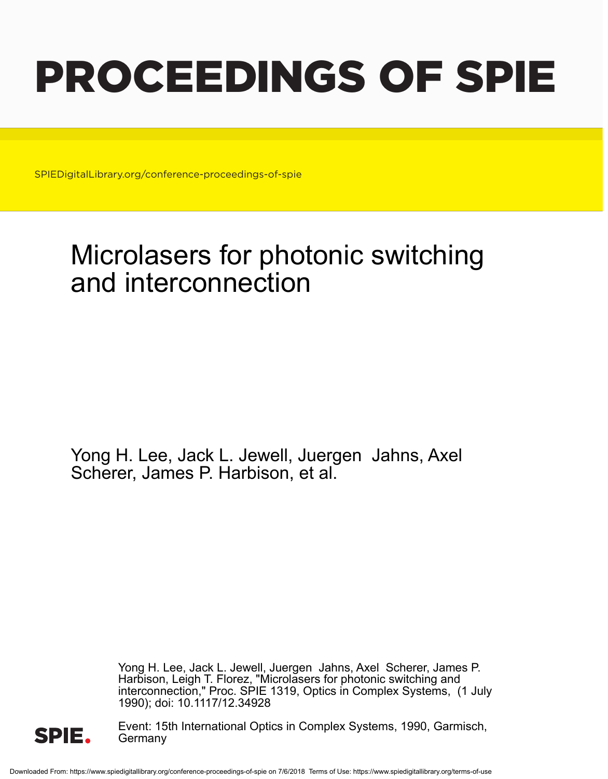## PROCEEDINGS OF SPIE

SPIEDigitalLibrary.org/conference-proceedings-of-spie

## Microlasers for photonic switching and interconnection

Yong H. Lee, Jack L. Jewell, Juergen Jahns, Axel Scherer, James P. Harbison, et al.

> Yong H. Lee, Jack L. Jewell, Juergen Jahns, Axel Scherer, James P. Harbison, Leigh T. Florez, "Microlasers for photonic switching and interconnection," Proc. SPIE 1319, Optics in Complex Systems, (1 July 1990); doi: 10.1117/12.34928



Event: 15th International Optics in Complex Systems, 1990, Garmisch, Germany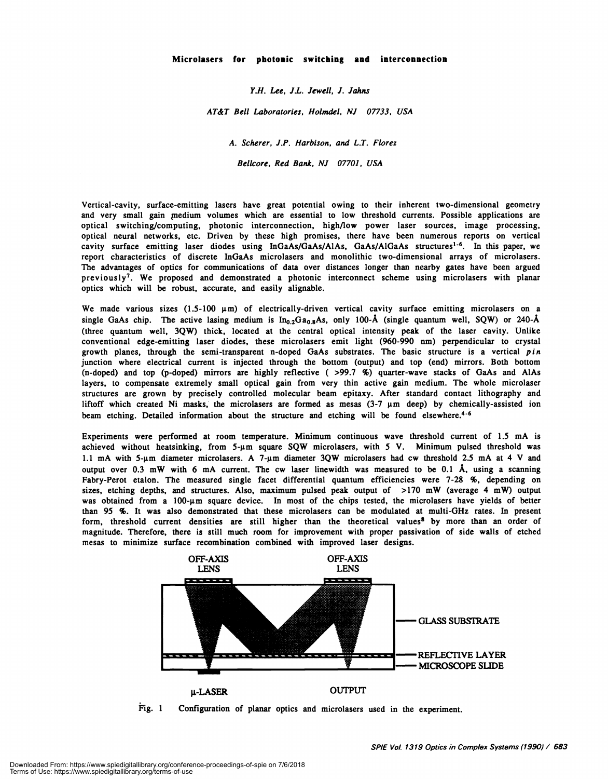Y.H. Lee, IL. Jewell, I. Jahns

AT&T Bell Laboratories, Holmdel, NJ 07733, USA

A. Scherer, J.P. Harbison, and L.T. Florez

Bellcore, Red Bank, NJ 07701, USA

Vertical-cavity, surface-emitting lasers have great potential owing to their inherent two-dimensional geometry and very small gain nedium volumes which are essential to low threshold currents. Possible applications are optical switching/computing, photonic interconnection, high/low power laser sources, image processing, optical neural networks, etc. Driven by these high promises, there have been numerous reports on vertical cavity surface emitting laser diodes using InGaAs/GaAs/AlAs, GaAs/AlGaAs structures<sup>1-6</sup>. In this paper, we report characteristics of discrete InGaAs microlasers and monolithic two-dimensional arrays of microlasers. The advantages of optics for communications of data over distances longer than nearby gates have been argued previously<sup>7</sup>. We proposed and demonstrated a photonic interconnect scheme using microlasers with planar optics which will be robust, accurate, and easily alignable.

We made various sizes (1.5-100  $\mu$ m) of electrically-driven vertical cavity surface emitting microlasers on a single GaAs chip. The active lasing medium is  $In_{0.2}Ga_{0.8}As$ , only 100-Å (single quantum well, SQW) or 240-Å (three quantum well, 3QW) thick, located at the central optical intensity peak of the laser cavity. Unlike conventional edge-emitting laser diodes, these microlasers emit light (960-990 nm) perpendicular to crystal growth planes, through the semi-transparent n-doped GaAs substrates. The basic structure is a vertical pin junction where electrical current is injected through the bottom (output) and top (end) mirrors. Both bottom (n-doped) and top (p-doped) mirrors are highly reflective ( >99.7 %) quarter-wave stacks of GaAs and AlAs layers, to compensate extremely small optical gain from very thin active gain medium. The whole microlaser structures are grown by precisely controlled molecular beam epitaxy. After standard contact lithography and liftoff which created Ni masks, the microlasers are formed as mesas  $(3-7 \mu m$  deep) by chemically-assisted ion beam etching. Detailed information about the structure and etching will be found elsewhere.<sup>4-6</sup>

Experiments were performed at room temperature. Minimum continuous wave threshold current of 1.5 mA is achieved without heatsinking, from 5-um square SQW microlasers, with 5 V. Minimum pulsed threshold was 1.1 mA with 5- $\mu$ m diameter microlasers. A 7- $\mu$ m diameter 3QW microlasers had cw threshold 2.5 mA at 4 V and output over 0.3 mW with 6 mA current. The cw laser linewidth was measured to be 0.1  $\AA$ , using a scanning Fabry-Perot etalon. The measured single facet differential quantum efficiencies were 7-28 %, depending on sizes, etching depths, and structures. Also, maximum pulsed peak output of >170 mW (average 4 mW) output was obtained from a 100-µm square device. In most of the chips tested, the microlasers have yields of better than 95 %. It was also demonstrated that these microlasers can be modulated at multi-GHz rates. In present form, threshold current densities are still higher than the theoretical values<sup>8</sup> by more than an order of magnitude. Therefore, there is still much room for improvement with proper passivation of side walls of etched mesas to minimize surface recombination combined with improved laser designs.



Fig. 1 Configuration of planar optics and microlasers used in the experiment.